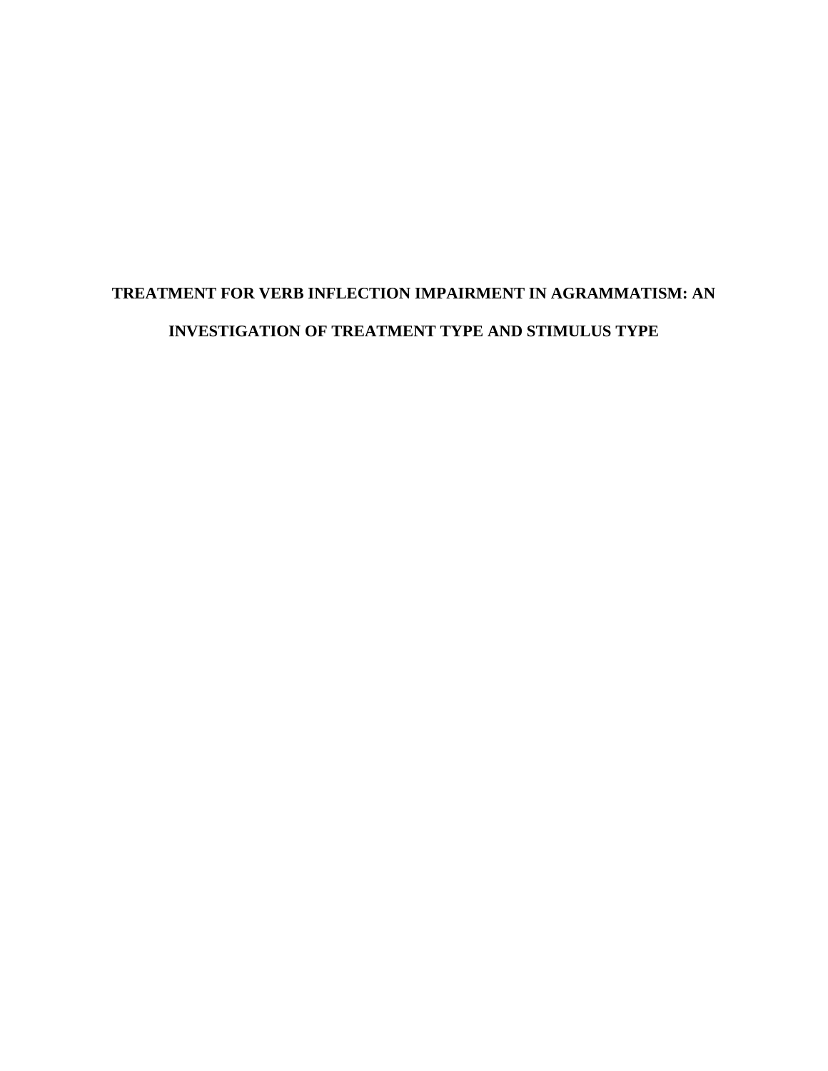# **TREATMENT FOR VERB INFLECTION IMPAIRMENT IN AGRAMMATISM: AN INVESTIGATION OF TREATMENT TYPE AND STIMULUS TYPE**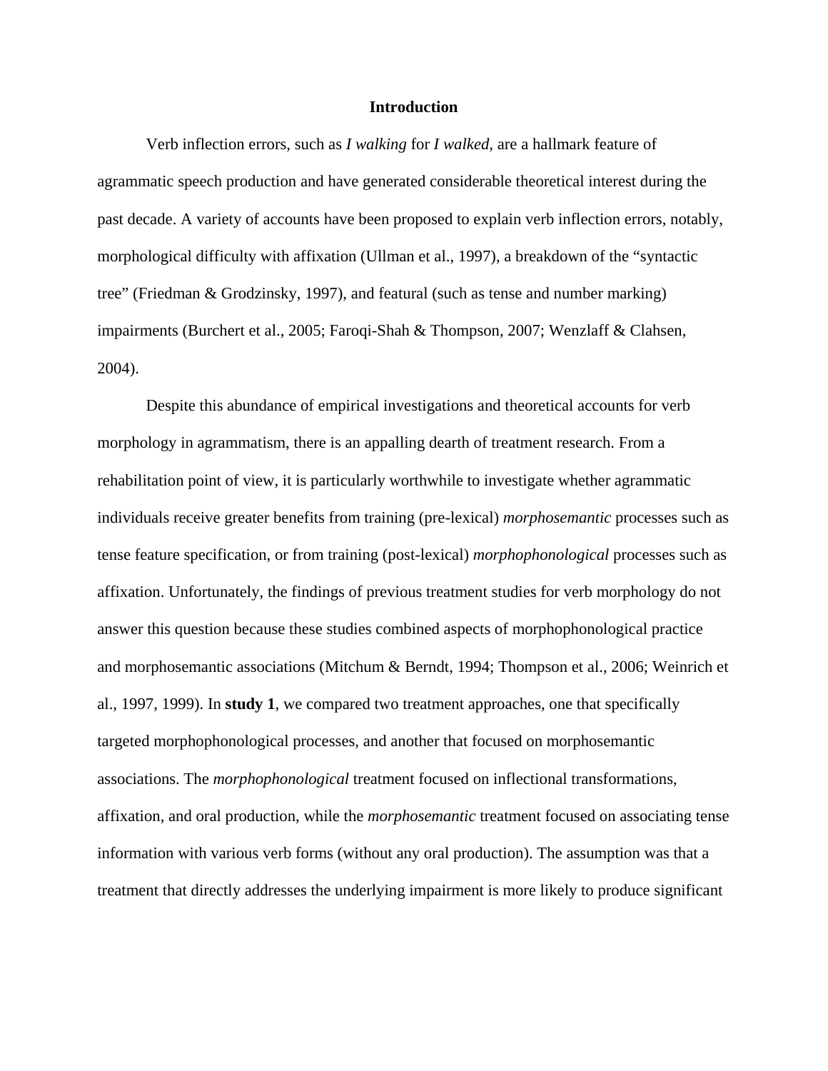### **Introduction**

Verb inflection errors, such as *I walking* for *I walked*, are a hallmark feature of agrammatic speech production and have generated considerable theoretical interest during the past decade. A variety of accounts have been proposed to explain verb inflection errors, notably, morphological difficulty with affixation (Ullman et al., 1997), a breakdown of the "syntactic tree" (Friedman & Grodzinsky, 1997), and featural (such as tense and number marking) impairments (Burchert et al., 2005; Faroqi-Shah & Thompson, 2007; Wenzlaff & Clahsen, 2004).

Despite this abundance of empirical investigations and theoretical accounts for verb morphology in agrammatism, there is an appalling dearth of treatment research. From a rehabilitation point of view, it is particularly worthwhile to investigate whether agrammatic individuals receive greater benefits from training (pre-lexical) *morphosemantic* processes such as tense feature specification, or from training (post-lexical) *morphophonological* processes such as affixation. Unfortunately, the findings of previous treatment studies for verb morphology do not answer this question because these studies combined aspects of morphophonological practice and morphosemantic associations (Mitchum & Berndt, 1994; Thompson et al., 2006; Weinrich et al., 1997, 1999). In **study 1**, we compared two treatment approaches, one that specifically targeted morphophonological processes, and another that focused on morphosemantic associations. The *morphophonological* treatment focused on inflectional transformations, affixation, and oral production, while the *morphosemantic* treatment focused on associating tense information with various verb forms (without any oral production). The assumption was that a treatment that directly addresses the underlying impairment is more likely to produce significant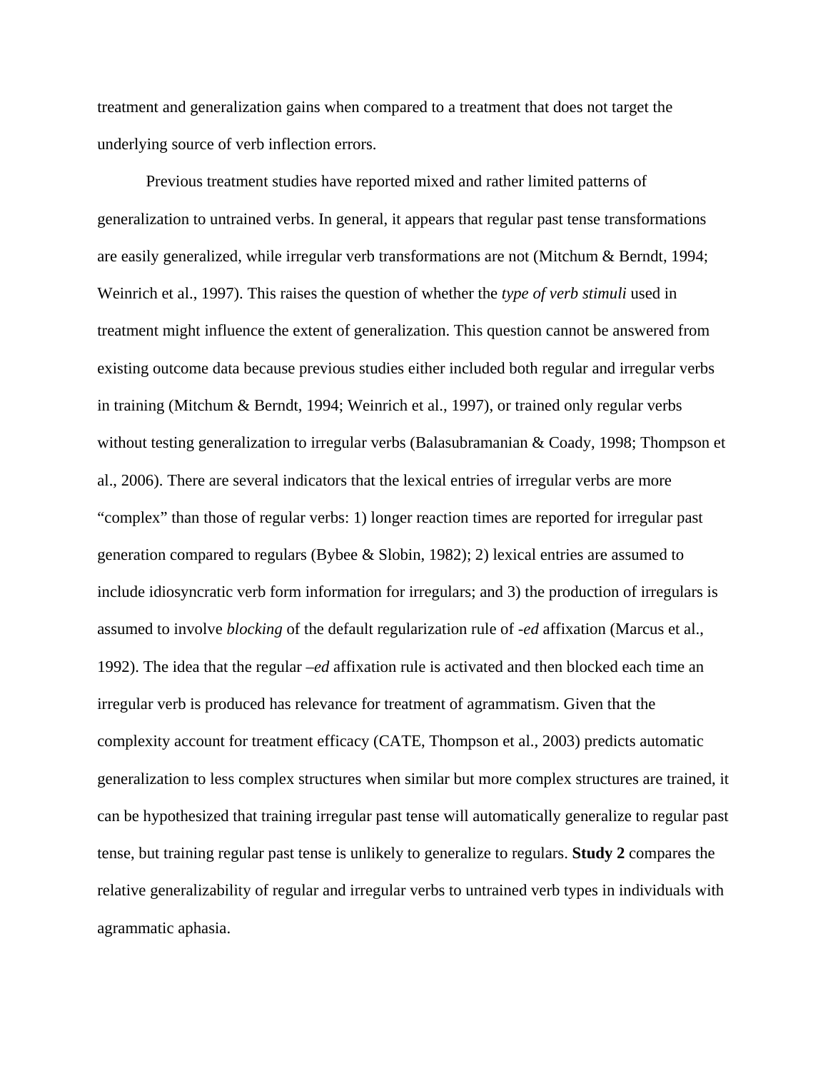treatment and generalization gains when compared to a treatment that does not target the underlying source of verb inflection errors.

Previous treatment studies have reported mixed and rather limited patterns of generalization to untrained verbs. In general, it appears that regular past tense transformations are easily generalized, while irregular verb transformations are not (Mitchum & Berndt, 1994; Weinrich et al., 1997). This raises the question of whether the *type of verb stimuli* used in treatment might influence the extent of generalization. This question cannot be answered from existing outcome data because previous studies either included both regular and irregular verbs in training (Mitchum & Berndt, 1994; Weinrich et al., 1997), or trained only regular verbs without testing generalization to irregular verbs (Balasubramanian & Coady, 1998; Thompson et al., 2006). There are several indicators that the lexical entries of irregular verbs are more "complex" than those of regular verbs: 1) longer reaction times are reported for irregular past generation compared to regulars (Bybee & Slobin, 1982); 2) lexical entries are assumed to include idiosyncratic verb form information for irregulars; and 3) the production of irregulars is assumed to involve *blocking* of the default regularization rule of *-ed* affixation (Marcus et al., 1992). The idea that the regular *–ed* affixation rule is activated and then blocked each time an irregular verb is produced has relevance for treatment of agrammatism. Given that the complexity account for treatment efficacy (CATE, Thompson et al., 2003) predicts automatic generalization to less complex structures when similar but more complex structures are trained, it can be hypothesized that training irregular past tense will automatically generalize to regular past tense, but training regular past tense is unlikely to generalize to regulars. **Study 2** compares the relative generalizability of regular and irregular verbs to untrained verb types in individuals with agrammatic aphasia.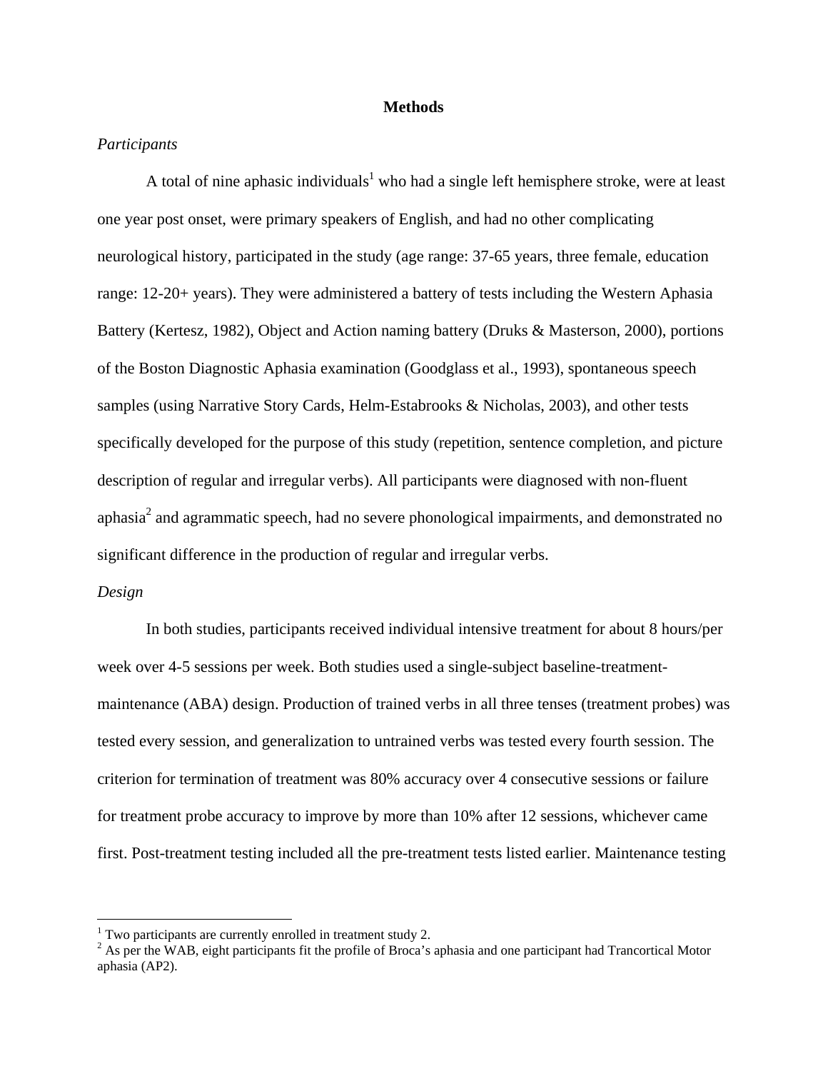## **Methods**

# *Participants*

A total of nine aphasic individuals<sup>1</sup> who had a single left hemisphere stroke, were at least one year post onset, were primary speakers of English, and had no other complicating neurological history, participated in the study (age range: 37-65 years, three female, education range: 12-20+ years). They were administered a battery of tests including the Western Aphasia Battery (Kertesz, 1982), Object and Action naming battery (Druks & Masterson, 2000), portions of the Boston Diagnostic Aphasia examination (Goodglass et al., 1993), spontaneous speech samples (using Narrative Story Cards, Helm-Estabrooks & Nicholas, 2003), and other tests specifically developed for the purpose of this study (repetition, sentence completion, and picture description of regular and irregular verbs). All participants were diagnosed with non-fluent aphasia<sup>2</sup> and agrammatic speech, had no severe phonological impairments, and demonstrated no significant difference in the production of regular and irregular verbs.

#### *Design*

1

In both studies, participants received individual intensive treatment for about 8 hours/per week over 4-5 sessions per week. Both studies used a single-subject baseline-treatmentmaintenance (ABA) design. Production of trained verbs in all three tenses (treatment probes) was tested every session, and generalization to untrained verbs was tested every fourth session. The criterion for termination of treatment was 80% accuracy over 4 consecutive sessions or failure for treatment probe accuracy to improve by more than 10% after 12 sessions, whichever came first. Post-treatment testing included all the pre-treatment tests listed earlier. Maintenance testing

<sup>&</sup>lt;sup>1</sup> Two participants are currently enrolled in treatment study 2.

 $2^2$  As per the WAB, eight participants fit the profile of Broca's aphasia and one participant had Trancortical Motor aphasia (AP2).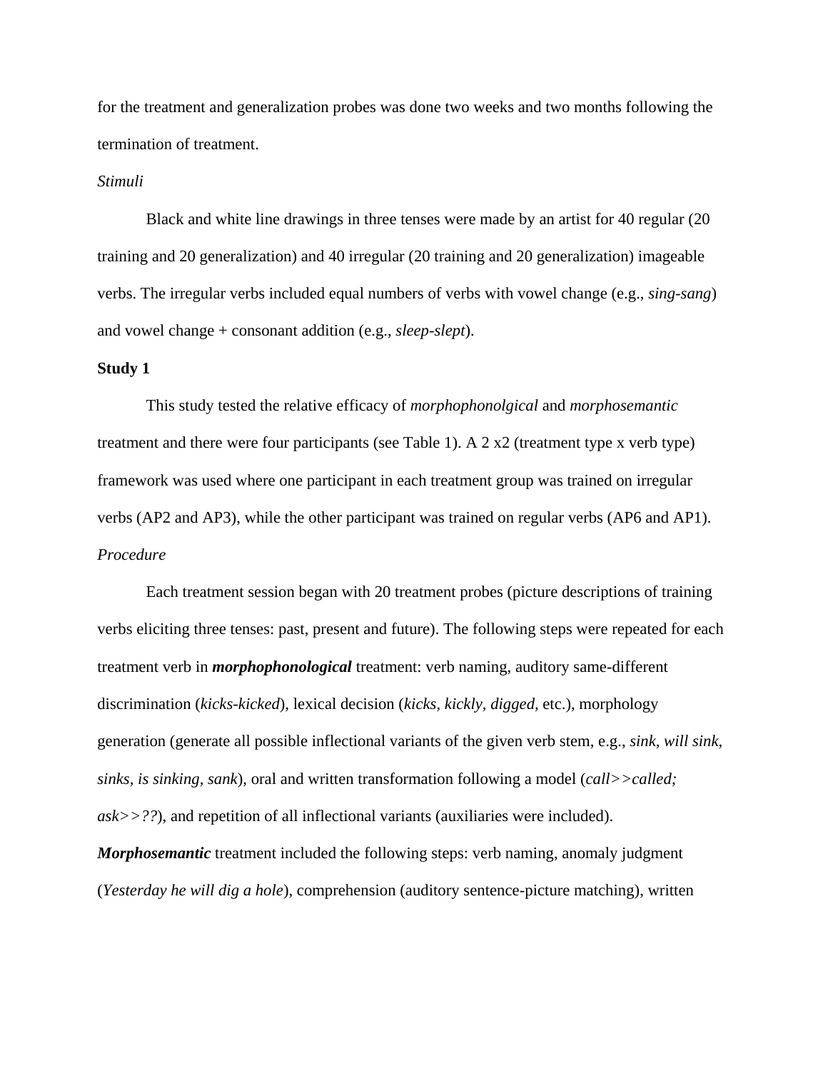for the treatment and generalization probes was done two weeks and two months following the termination of treatment.

## *Stimuli*

Black and white line drawings in three tenses were made by an artist for 40 regular (20 training and 20 generalization) and 40 irregular (20 training and 20 generalization) imageable verbs. The irregular verbs included equal numbers of verbs with vowel change (e.g., *sing-sang*) and vowel change + consonant addition (e.g., *sleep-slept*).

#### **Study 1**

This study tested the relative efficacy of *morphophonolgical* and *morphosemantic* treatment and there were four participants (see Table 1). A 2 x2 (treatment type x verb type) framework was used where one participant in each treatment group was trained on irregular verbs (AP2 and AP3), while the other participant was trained on regular verbs (AP6 and AP1). *Procedure* 

 Each treatment session began with 20 treatment probes (picture descriptions of training verbs eliciting three tenses: past, present and future). The following steps were repeated for each treatment verb in *morphophonological* treatment: verb naming, auditory same-different discrimination (*kicks-kicked*), lexical decision (*kicks, kickly, digged,* etc.), morphology generation (generate all possible inflectional variants of the given verb stem, e.g., *sink, will sink, sinks, is sinking, sank*), oral and written transformation following a model (*call>>called; ask>>??*), and repetition of all inflectional variants (auxiliaries were included).

*Morphosemantic* treatment included the following steps: verb naming, anomaly judgment (*Yesterday he will dig a hole*), comprehension (auditory sentence-picture matching), written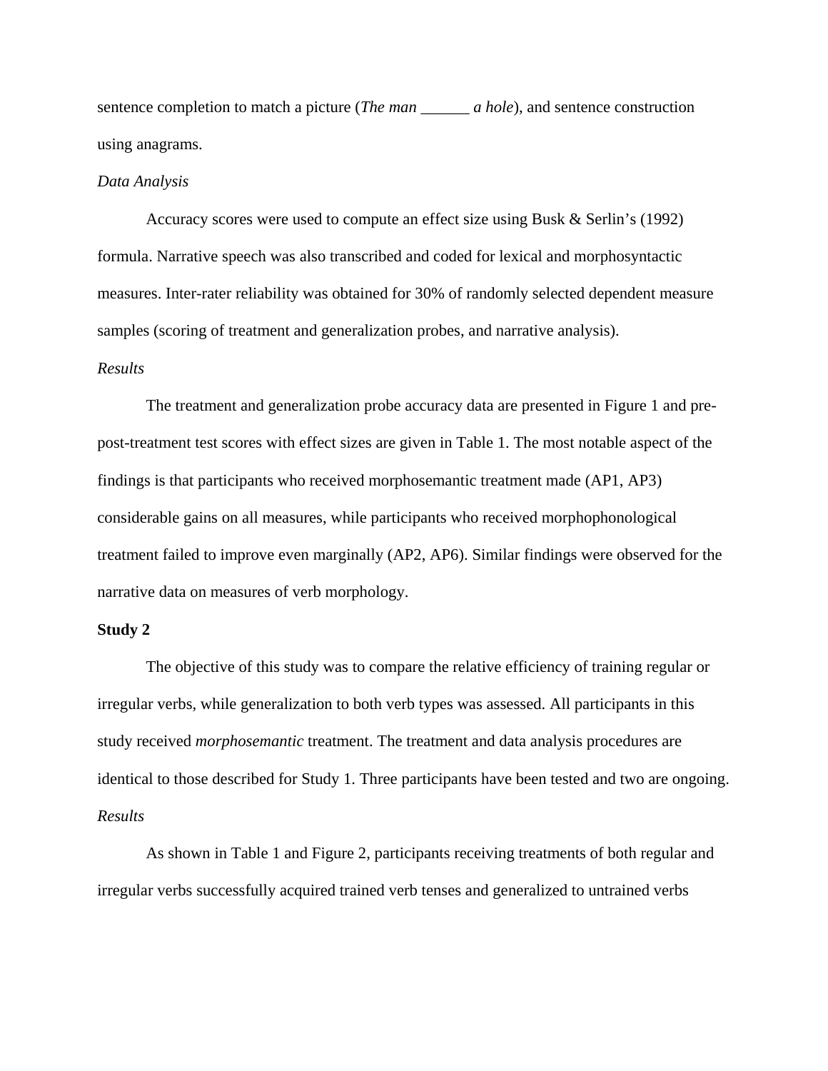sentence completion to match a picture (*The man \_\_\_\_\_\_ a hole*), and sentence construction using anagrams.

## *Data Analysis*

Accuracy scores were used to compute an effect size using Busk & Serlin's (1992) formula. Narrative speech was also transcribed and coded for lexical and morphosyntactic measures. Inter-rater reliability was obtained for 30% of randomly selected dependent measure samples (scoring of treatment and generalization probes, and narrative analysis).

## *Results*

 The treatment and generalization probe accuracy data are presented in Figure 1 and prepost-treatment test scores with effect sizes are given in Table 1. The most notable aspect of the findings is that participants who received morphosemantic treatment made (AP1, AP3) considerable gains on all measures, while participants who received morphophonological treatment failed to improve even marginally (AP2, AP6). Similar findings were observed for the narrative data on measures of verb morphology.

## **Study 2**

The objective of this study was to compare the relative efficiency of training regular or irregular verbs, while generalization to both verb types was assessed. All participants in this study received *morphosemantic* treatment. The treatment and data analysis procedures are identical to those described for Study 1. Three participants have been tested and two are ongoing. *Results* 

 As shown in Table 1 and Figure 2, participants receiving treatments of both regular and irregular verbs successfully acquired trained verb tenses and generalized to untrained verbs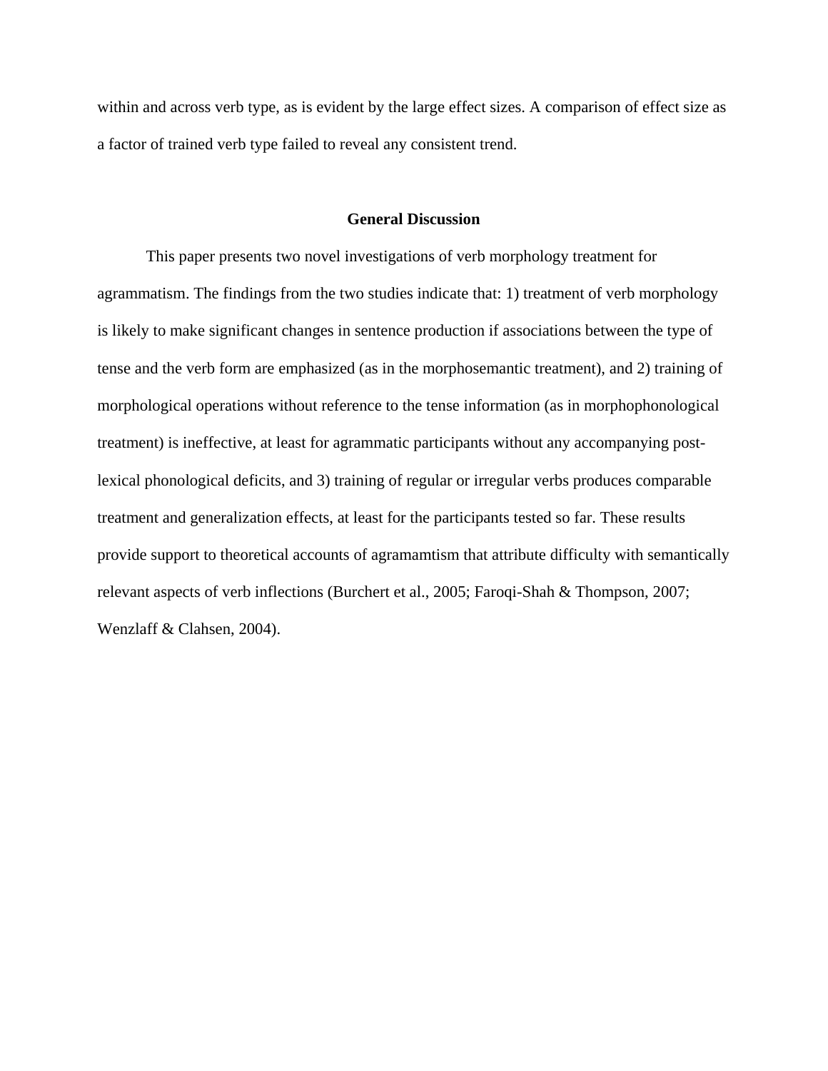within and across verb type, as is evident by the large effect sizes. A comparison of effect size as a factor of trained verb type failed to reveal any consistent trend.

# **General Discussion**

This paper presents two novel investigations of verb morphology treatment for agrammatism. The findings from the two studies indicate that: 1) treatment of verb morphology is likely to make significant changes in sentence production if associations between the type of tense and the verb form are emphasized (as in the morphosemantic treatment), and 2) training of morphological operations without reference to the tense information (as in morphophonological treatment) is ineffective, at least for agrammatic participants without any accompanying postlexical phonological deficits, and 3) training of regular or irregular verbs produces comparable treatment and generalization effects, at least for the participants tested so far. These results provide support to theoretical accounts of agramamtism that attribute difficulty with semantically relevant aspects of verb inflections (Burchert et al., 2005; Faroqi-Shah & Thompson, 2007; Wenzlaff & Clahsen, 2004).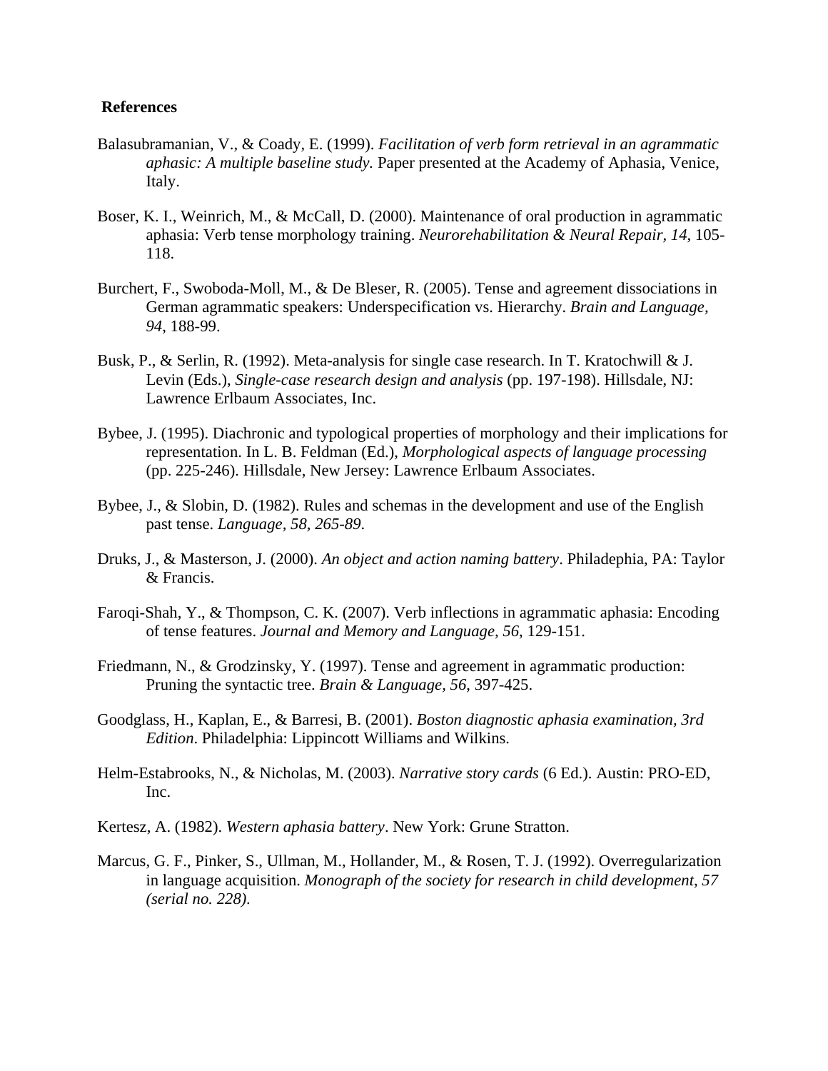# **References**

- Balasubramanian, V., & Coady, E. (1999). *Facilitation of verb form retrieval in an agrammatic aphasic: A multiple baseline study.* Paper presented at the Academy of Aphasia, Venice, Italy.
- Boser, K. I., Weinrich, M., & McCall, D. (2000). Maintenance of oral production in agrammatic aphasia: Verb tense morphology training. *Neurorehabilitation & Neural Repair, 14*, 105- 118.
- Burchert, F., Swoboda-Moll, M., & De Bleser, R. (2005). Tense and agreement dissociations in German agrammatic speakers: Underspecification vs. Hierarchy. *Brain and Language, 94*, 188-99.
- Busk, P., & Serlin, R. (1992). Meta-analysis for single case research. In T. Kratochwill & J. Levin (Eds.), *Single-case research design and analysis* (pp. 197-198). Hillsdale, NJ: Lawrence Erlbaum Associates, Inc.
- Bybee, J. (1995). Diachronic and typological properties of morphology and their implications for representation. In L. B. Feldman (Ed.), *Morphological aspects of language processing* (pp. 225-246). Hillsdale, New Jersey: Lawrence Erlbaum Associates.
- Bybee, J., & Slobin, D. (1982). Rules and schemas in the development and use of the English past tense. *Language, 58, 265-89*.
- Druks, J., & Masterson, J. (2000). *An object and action naming battery*. Philadephia, PA: Taylor & Francis.
- Faroqi-Shah, Y., & Thompson, C. K. (2007). Verb inflections in agrammatic aphasia: Encoding of tense features. *Journal and Memory and Language, 56*, 129-151.
- Friedmann, N., & Grodzinsky, Y. (1997). Tense and agreement in agrammatic production: Pruning the syntactic tree. *Brain & Language, 56*, 397-425.
- Goodglass, H., Kaplan, E., & Barresi, B. (2001). *Boston diagnostic aphasia examination, 3rd Edition*. Philadelphia: Lippincott Williams and Wilkins.
- Helm-Estabrooks, N., & Nicholas, M. (2003). *Narrative story cards* (6 Ed.). Austin: PRO-ED, Inc.
- Kertesz, A. (1982). *Western aphasia battery*. New York: Grune Stratton.
- Marcus, G. F., Pinker, S., Ullman, M., Hollander, M., & Rosen, T. J. (1992). Overregularization in language acquisition. *Monograph of the society for research in child development, 57 (serial no. 228)*.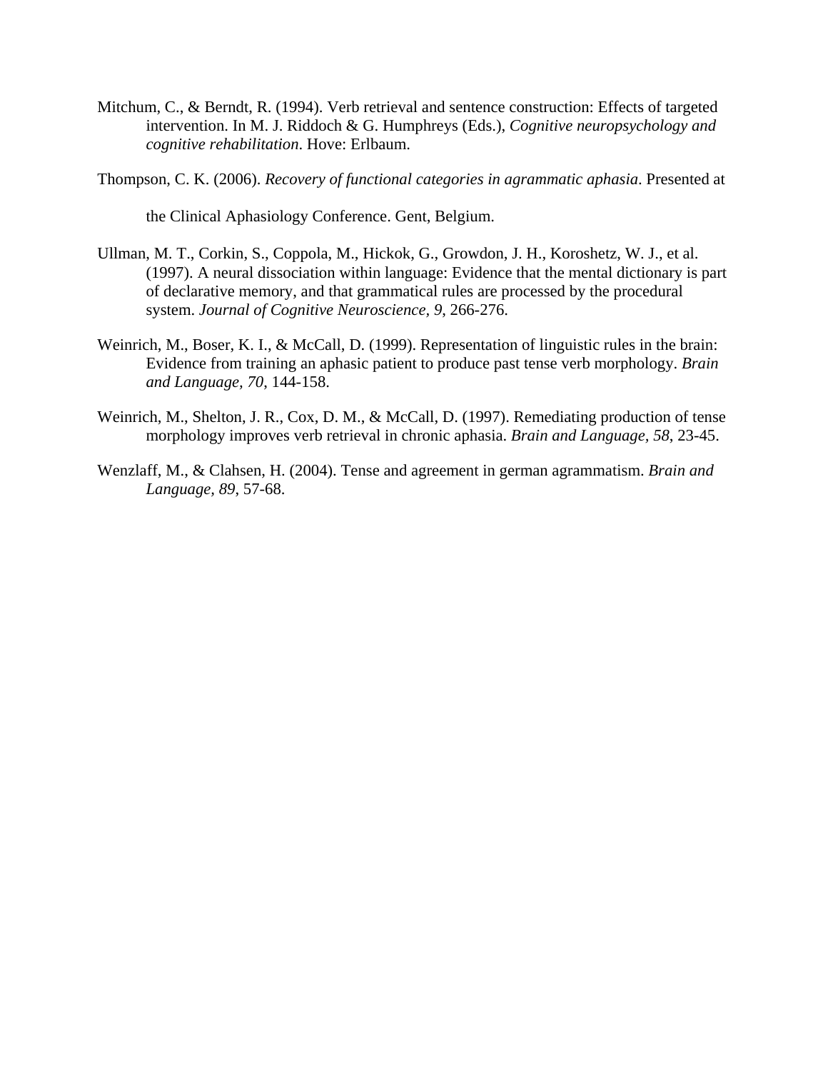- Mitchum, C., & Berndt, R. (1994). Verb retrieval and sentence construction: Effects of targeted intervention. In M. J. Riddoch & G. Humphreys (Eds.), *Cognitive neuropsychology and cognitive rehabilitation*. Hove: Erlbaum.
- Thompson, C. K. (2006). *Recovery of functional categories in agrammatic aphasia*. Presented at

the Clinical Aphasiology Conference. Gent, Belgium.

- Ullman, M. T., Corkin, S., Coppola, M., Hickok, G., Growdon, J. H., Koroshetz, W. J., et al. (1997). A neural dissociation within language: Evidence that the mental dictionary is part of declarative memory, and that grammatical rules are processed by the procedural system. *Journal of Cognitive Neuroscience, 9*, 266-276.
- Weinrich, M., Boser, K. I., & McCall, D. (1999). Representation of linguistic rules in the brain: Evidence from training an aphasic patient to produce past tense verb morphology. *Brain and Language, 70*, 144-158.
- Weinrich, M., Shelton, J. R., Cox, D. M., & McCall, D. (1997). Remediating production of tense morphology improves verb retrieval in chronic aphasia. *Brain and Language, 58*, 23-45.
- Wenzlaff, M., & Clahsen, H. (2004). Tense and agreement in german agrammatism. *Brain and Language, 89*, 57-68.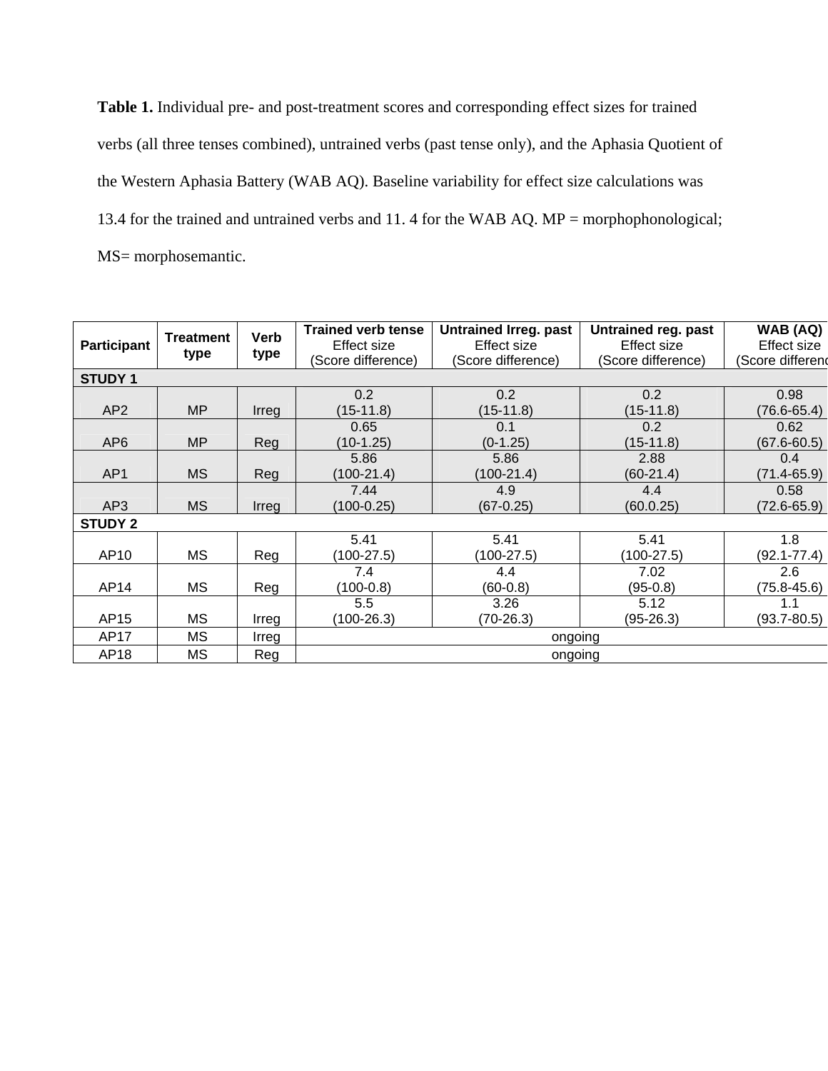**Table 1.** Individual pre- and post-treatment scores and corresponding effect sizes for trained verbs (all three tenses combined), untrained verbs (past tense only), and the Aphasia Quotient of the Western Aphasia Battery (WAB AQ). Baseline variability for effect size calculations was 13.4 for the trained and untrained verbs and 11. 4 for the WAB AQ. MP = morphophonological; MS= morphosemantic.

| <b>Participant</b> | <b>Treatment</b><br>type | Verb<br>type | <b>Trained verb tense</b><br>Effect size<br>(Score difference) | <b>Untrained Irreg. past</b><br>Effect size<br>(Score difference) | Untrained reg. past<br>Effect size<br>(Score difference) | WAB (AQ)<br>Effect size<br>Score differend |
|--------------------|--------------------------|--------------|----------------------------------------------------------------|-------------------------------------------------------------------|----------------------------------------------------------|--------------------------------------------|
| <b>STUDY 1</b>     |                          |              |                                                                |                                                                   |                                                          |                                            |
|                    |                          |              | 0.2                                                            | 0.2                                                               | $0.2^{\circ}$                                            | 0.98                                       |
| AP <sub>2</sub>    | <b>MP</b>                | Irreg        | $(15-11.8)$                                                    | $(15-11.8)$                                                       | $(15-11.8)$                                              | $(76.6 - 65.4)$                            |
|                    |                          |              | 0.65                                                           | 0.1                                                               | 0.2                                                      | 0.62                                       |
| AP <sub>6</sub>    | <b>MP</b>                | Reg          | $(10-1.25)$                                                    | $(0-1.25)$                                                        | $(15-11.8)$                                              | $(67.6 - 60.5)$                            |
|                    |                          |              | 5.86                                                           | 5.86                                                              | 2.88                                                     | 0.4                                        |
| AP1                | <b>MS</b>                | Reg          | $(100-21.4)$                                                   | $(100-21.4)$                                                      | $(60-21.4)$                                              | $(71.4 - 65.9)$                            |
|                    |                          |              | 7.44                                                           | 4.9                                                               | 4.4                                                      | 0.58                                       |
| AP3                | <b>MS</b>                | Irreg        | $(100-0.25)$                                                   | $(67-0.25)$                                                       | (60.0.25)                                                | (72.6-65.9)                                |
| <b>STUDY 2</b>     |                          |              |                                                                |                                                                   |                                                          |                                            |
|                    |                          |              | 5.41                                                           | 5.41                                                              | 5.41                                                     | 1.8                                        |
| AP10               | <b>MS</b>                | Reg          | $(100-27.5)$                                                   | $(100-27.5)$                                                      | $(100-27.5)$                                             | $(92.1 - 77.4)$                            |
|                    |                          |              | 7.4                                                            | 4.4                                                               | 7.02                                                     | 2.6                                        |
| AP14               | МS                       | Reg          | $(100-0.8)$                                                    | $(60-0.8)$                                                        | $(95-0.8)$                                               | $(75.8 - 45.6)$                            |
|                    |                          |              | 5.5                                                            | 3.26                                                              | 5.12                                                     | 1.1                                        |
| AP15               | МS                       | Irreg        | $(100-26.3)$                                                   | (70-26.3)                                                         | $(95-26.3)$                                              | $(93.7 - 80.5)$                            |
| AP17               | МS                       | Irreg        | ongoing                                                        |                                                                   |                                                          |                                            |
| AP18               | MS                       | Reg          | ongoing                                                        |                                                                   |                                                          |                                            |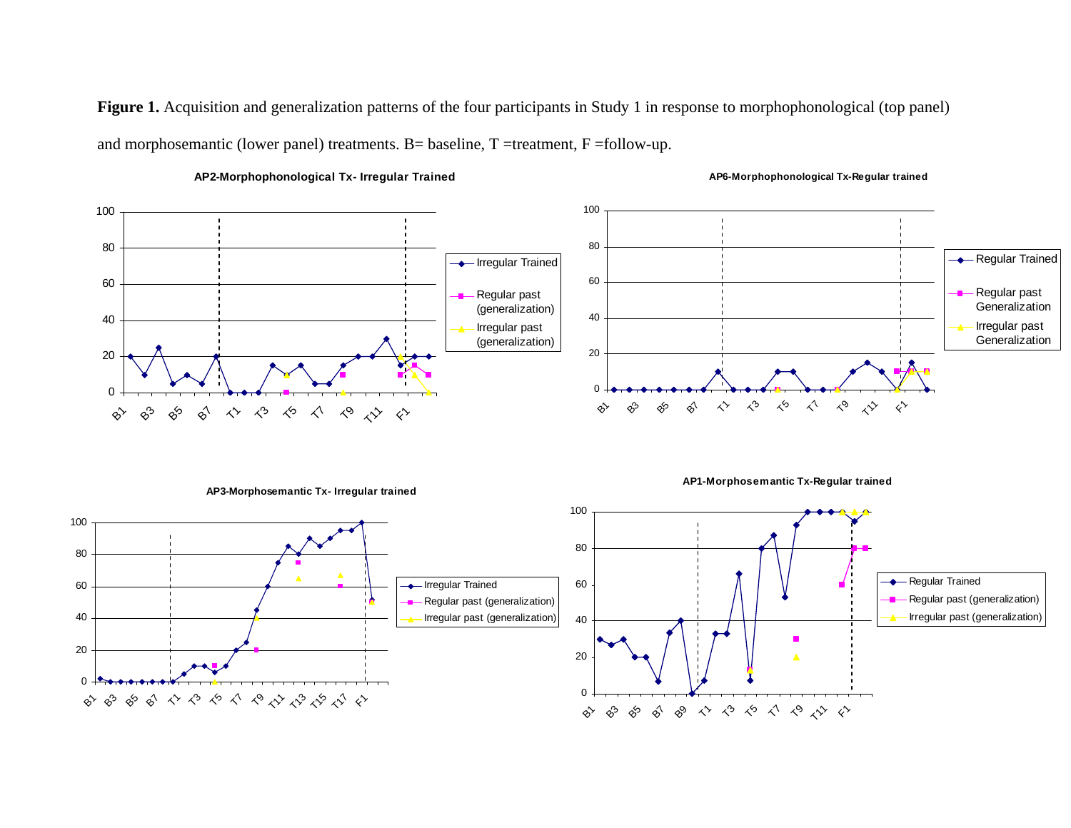Figure 1. Acquisition and generalization patterns of the four participants in Study 1 in response to morphophonological (top panel) and morphosemantic (lower panel) treatments. B= baseline, T =treatment, F =follow-up.